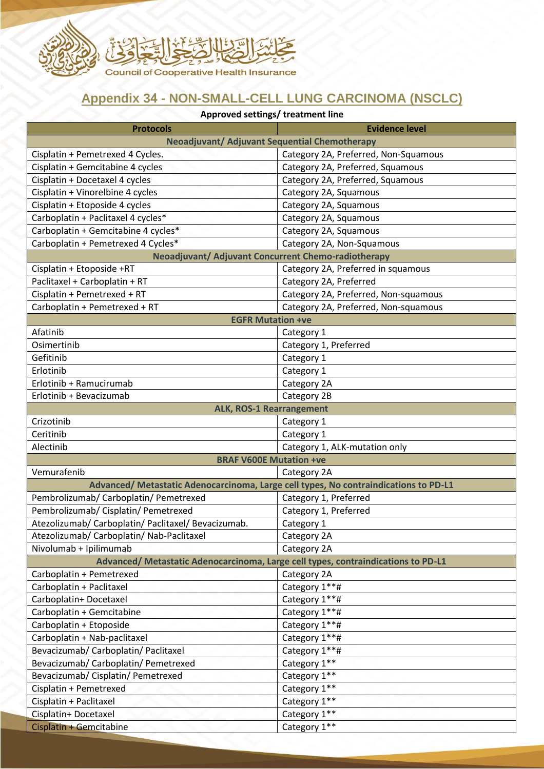

## **Appendix 34 - NON-SMALL-CELL LUNG CARCINOMA (NSCLC)**

| Approved settings/ treatment line                                                    |                                      |
|--------------------------------------------------------------------------------------|--------------------------------------|
| <b>Protocols</b>                                                                     | <b>Evidence level</b>                |
| <b>Neoadjuvant/ Adjuvant Sequential Chemotherapy</b>                                 |                                      |
| Cisplatin + Pemetrexed 4 Cycles.                                                     | Category 2A, Preferred, Non-Squamous |
| Cisplatin + Gemcitabine 4 cycles                                                     | Category 2A, Preferred, Squamous     |
| Cisplatin + Docetaxel 4 cycles                                                       | Category 2A, Preferred, Squamous     |
| Cisplatin + Vinorelbine 4 cycles                                                     | Category 2A, Squamous                |
| Cisplatin + Etoposide 4 cycles                                                       | Category 2A, Squamous                |
| Carboplatin + Paclitaxel 4 cycles*                                                   | Category 2A, Squamous                |
| Carboplatin + Gemcitabine 4 cycles*                                                  | Category 2A, Squamous                |
| Carboplatin + Pemetrexed 4 Cycles*                                                   | Category 2A, Non-Squamous            |
| Neoadjuvant/ Adjuvant Concurrent Chemo-radiotherapy                                  |                                      |
| Cisplatin + Etoposide +RT                                                            | Category 2A, Preferred in squamous   |
| Paclitaxel + Carboplatin + RT                                                        | Category 2A, Preferred               |
| Cisplatin + Pemetrexed + RT                                                          | Category 2A, Preferred, Non-squamous |
| Carboplatin + Pemetrexed + RT                                                        | Category 2A, Preferred, Non-squamous |
| <b>EGFR Mutation +ve</b>                                                             |                                      |
| Afatinib                                                                             | Category 1                           |
| Osimertinib                                                                          | Category 1, Preferred                |
| Gefitinib                                                                            | Category 1                           |
| Erlotinib                                                                            | Category 1                           |
| Erlotinib + Ramucirumab                                                              | Category 2A                          |
| Erlotinib + Bevacizumab                                                              | Category 2B                          |
| <b>ALK, ROS-1 Rearrangement</b>                                                      |                                      |
| Crizotinib                                                                           | Category 1                           |
| Ceritinib                                                                            | Category 1                           |
| Alectinib                                                                            | Category 1, ALK-mutation only        |
| <b>BRAF V600E Mutation +ve</b>                                                       |                                      |
| Vemurafenib<br>Category 2A                                                           |                                      |
| Advanced/ Metastatic Adenocarcinoma, Large cell types, No contraindications to PD-L1 |                                      |
| Pembrolizumab/ Carboplatin/ Pemetrexed                                               | Category 1, Preferred                |
| Pembrolizumab/ Cisplatin/ Pemetrexed                                                 | Category 1, Preferred                |
| Atezolizumab/ Carboplatin/ Paclitaxel/ Bevacizumab.                                  | Category 1                           |
| Atezolizumab/ Carboplatin/ Nab-Paclitaxel                                            | Category 2A                          |
| Nivolumab + Ipilimumab                                                               | Category 2A                          |
| Advanced/ Metastatic Adenocarcinoma, Large cell types, contraindications to PD-L1    |                                      |
| Carboplatin + Pemetrexed                                                             | Category 2A                          |
| Carboplatin + Paclitaxel                                                             | Category 1**#                        |
| Carboplatin+ Docetaxel                                                               | Category 1**#                        |
| Carboplatin + Gemcitabine                                                            | Category 1**#                        |
| Carboplatin + Etoposide                                                              | Category 1**#                        |
| Carboplatin + Nab-paclitaxel                                                         | Category 1**#                        |
| Bevacizumab/ Carboplatin/ Paclitaxel                                                 | Category 1**#                        |
| Bevacizumab/ Carboplatin/ Pemetrexed                                                 | Category 1**                         |
| Bevacizumab/ Cisplatin/ Pemetrexed                                                   | Category 1**                         |
| Cisplatin + Pemetrexed                                                               | Category 1**                         |
| Cisplatin + Paclitaxel                                                               | Category 1**                         |
| Cisplatin+ Docetaxel                                                                 | Category 1**                         |
| Cisplatin + Gemcitabine                                                              | Category 1**                         |